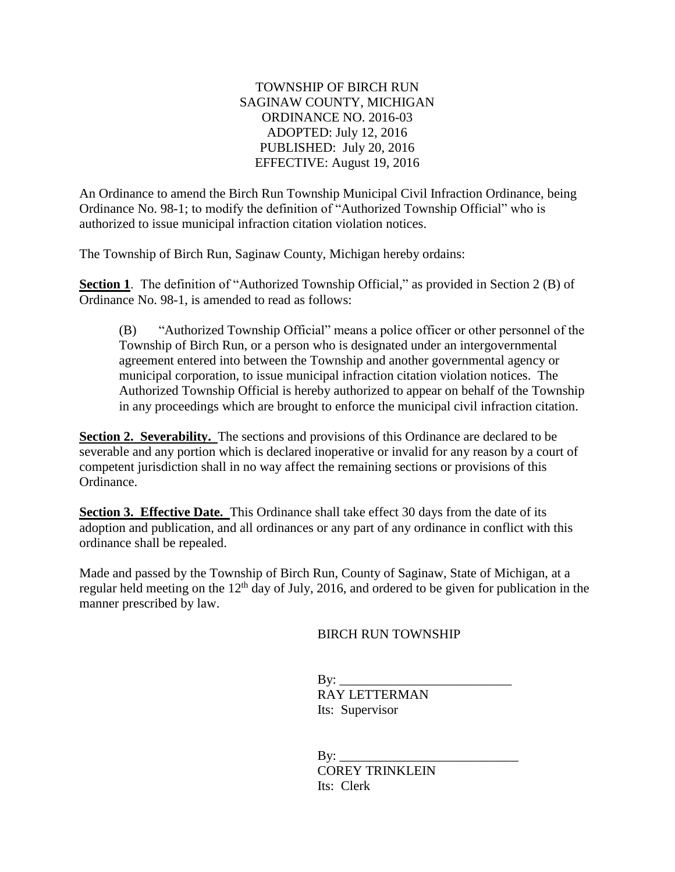## TOWNSHIP OF BIRCH RUN SAGINAW COUNTY, MICHIGAN ORDINANCE NO. 2016-03 ADOPTED: July 12, 2016 PUBLISHED: July 20, 2016 EFFECTIVE: August 19, 2016

An Ordinance to amend the Birch Run Township Municipal Civil Infraction Ordinance, being Ordinance No. 98-1; to modify the definition of "Authorized Township Official" who is authorized to issue municipal infraction citation violation notices.

The Township of Birch Run, Saginaw County, Michigan hereby ordains:

**Section 1**. The definition of "Authorized Township Official," as provided in Section 2 (B) of Ordinance No. 98-1, is amended to read as follows:

(B) "Authorized Township Official" means a police officer or other personnel of the Township of Birch Run, or a person who is designated under an intergovernmental agreement entered into between the Township and another governmental agency or municipal corporation, to issue municipal infraction citation violation notices. The Authorized Township Official is hereby authorized to appear on behalf of the Township in any proceedings which are brought to enforce the municipal civil infraction citation.

**Section 2. Severability.** The sections and provisions of this Ordinance are declared to be severable and any portion which is declared inoperative or invalid for any reason by a court of competent jurisdiction shall in no way affect the remaining sections or provisions of this Ordinance.

**Section 3. Effective Date.** This Ordinance shall take effect 30 days from the date of its adoption and publication, and all ordinances or any part of any ordinance in conflict with this ordinance shall be repealed.

Made and passed by the Township of Birch Run, County of Saginaw, State of Michigan, at a regular held meeting on the 12<sup>th</sup> day of July, 2016, and ordered to be given for publication in the manner prescribed by law.

BIRCH RUN TOWNSHIP

 $Bv:$  RAY LETTERMAN Its: Supervisor

 $\mathbf{By:}$ COREY TRINKLEIN Its: Clerk